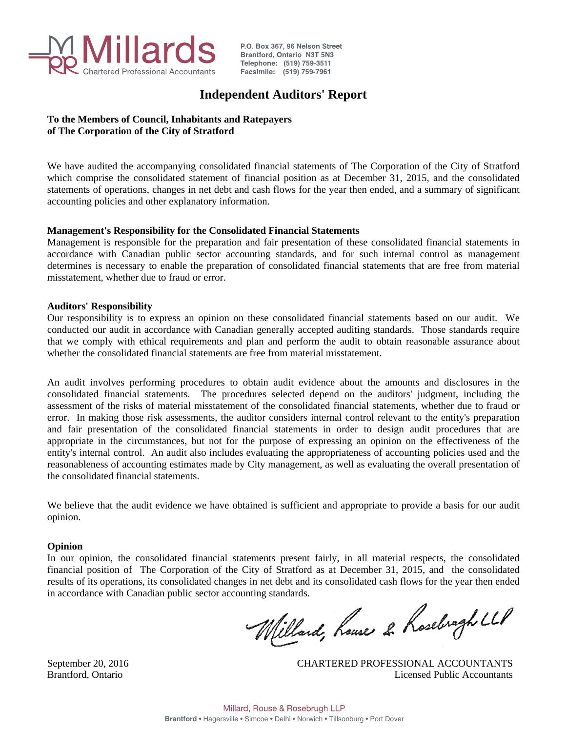

P.O. Box 367, 96 Nelson Street **Brantford, Ontario N3T 5N3** Telephone: (519) 759-3511 Facsimile: (519) 759-7961

# **Independent Auditors' Report**

## **To the Members of Council, Inhabitants and Ratepayers of The Corporation of the City of Stratford**

We have audited the accompanying consolidated financial statements of The Corporation of the City of Stratford which comprise the consolidated statement of financial position as at December 31, 2015, and the consolidated statements of operations, changes in net debt and cash flows for the year then ended, and a summary of significant accounting policies and other explanatory information.

## **Management's Responsibility for the Consolidated Financial Statements**

Management is responsible for the preparation and fair presentation of these consolidated financial statements in accordance with Canadian public sector accounting standards, and for such internal control as management determines is necessary to enable the preparation of consolidated financial statements that are free from material misstatement, whether due to fraud or error.

## **Auditors' Responsibility**

Our responsibility is to express an opinion on these consolidated financial statements based on our audit. We conducted our audit in accordance with Canadian generally accepted auditing standards. Those standards require that we comply with ethical requirements and plan and perform the audit to obtain reasonable assurance about whether the consolidated financial statements are free from material misstatement.

An audit involves performing procedures to obtain audit evidence about the amounts and disclosures in the consolidated financial statements. The procedures selected depend on the auditors' judgment, including the assessment of the risks of material misstatement of the consolidated financial statements, whether due to fraud or error. In making those risk assessments, the auditor considers internal control relevant to the entity's preparation and fair presentation of the consolidated financial statements in order to design audit procedures that are appropriate in the circumstances, but not for the purpose of expressing an opinion on the effectiveness of the entity's internal control. An audit also includes evaluating the appropriateness of accounting policies used and the reasonableness of accounting estimates made by City management, as well as evaluating the overall presentation of the consolidated financial statements.

We believe that the audit evidence we have obtained is sufficient and appropriate to provide a basis for our audit opinion.

## **Opinion**

In our opinion, the consolidated financial statements present fairly, in all material respects, the consolidated financial position of The Corporation of the City of Stratford as at December 31, 2015, and the consolidated results of its operations, its consolidated changes in net debt and its consolidated cash flows for the year then ended in accordance with Canadian public sector accounting standards.

Willard, Louse 2 Losebragh LLP

September 20, 2016 CHARTERED PROFESSIONAL ACCOUNTANTS Brantford, Ontario Licensed Public Accountants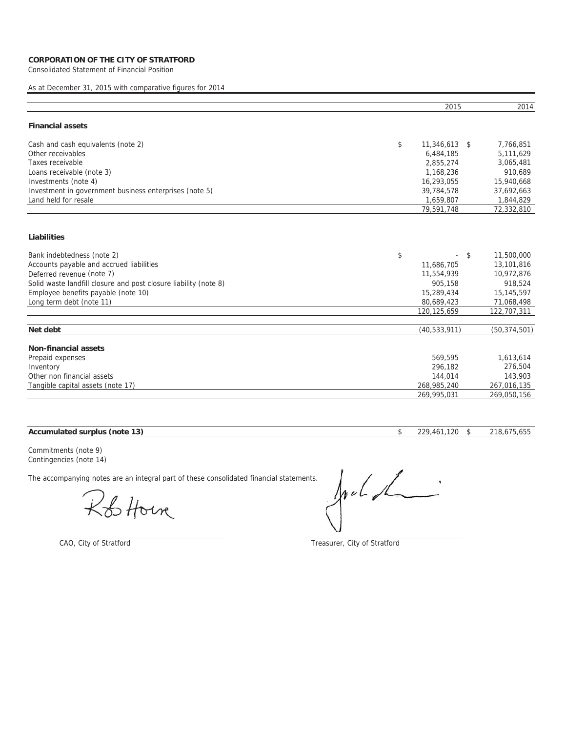Consolidated Statement of Financial Position

As at December 31, 2015 with comparative figures for 2014

|                                                                  |                     | 2015 | 2014           |
|------------------------------------------------------------------|---------------------|------|----------------|
| <b>Financial assets</b>                                          |                     |      |                |
| Cash and cash equivalents (note 2)                               | \$<br>11,346,613 \$ |      | 7,766,851      |
| Other receivables                                                | 6,484,185           |      | 5,111,629      |
| Taxes receivable                                                 | 2,855,274           |      | 3,065,481      |
| Loans receivable (note 3)                                        | 1,168,236           |      | 910.689        |
| Investments (note 4)                                             | 16,293,055          |      | 15,940,668     |
| Investment in government business enterprises (note 5)           | 39,784,578          |      | 37,692,663     |
| Land held for resale                                             | 1,659,807           |      | 1,844,829      |
|                                                                  | 79,591,748          |      | 72,332,810     |
| <b>Liabilities</b>                                               |                     |      |                |
|                                                                  |                     |      |                |
| Bank indebtedness (note 2)                                       | \$                  | \$   | 11,500,000     |
| Accounts payable and accrued liabilities                         | 11,686,705          |      | 13,101,816     |
| Deferred revenue (note 7)                                        | 11,554,939          |      | 10,972,876     |
| Solid waste landfill closure and post closure liability (note 8) | 905.158             |      | 918.524        |
| Employee benefits payable (note 10)                              | 15,289,434          |      | 15,145,597     |
| Long term debt (note 11)                                         | 80,689,423          |      | 71,068,498     |
|                                                                  | 120,125,659         |      | 122,707,311    |
|                                                                  |                     |      |                |
| Net debt                                                         | (40, 533, 911)      |      | (50, 374, 501) |
| <b>Non-financial assets</b>                                      |                     |      |                |
| Prepaid expenses                                                 | 569,595             |      | 1,613,614      |
| Inventory                                                        | 296,182             |      | 276,504        |
| Other non financial assets                                       | 144,014             |      | 143,903        |
| Tangible capital assets (note 17)                                | 268,985,240         |      | 267,016,135    |
|                                                                  | 269,995,031         |      | 269,050,156    |

| 13'<br>Accumulated<br>note<br>u surplus l | 120<br>າາດ<br>.46i<br>$  -$ | $\cdot$ $ -$<br>218,675,655 |
|-------------------------------------------|-----------------------------|-----------------------------|
|                                           |                             |                             |

Commitments (note 9) Contingencies (note 14)

The accompanying notes are an integral part of these consolidated financial statements.

Rb Horn

Jul L

CAO, City of Stratford Treasurer, City of Stratford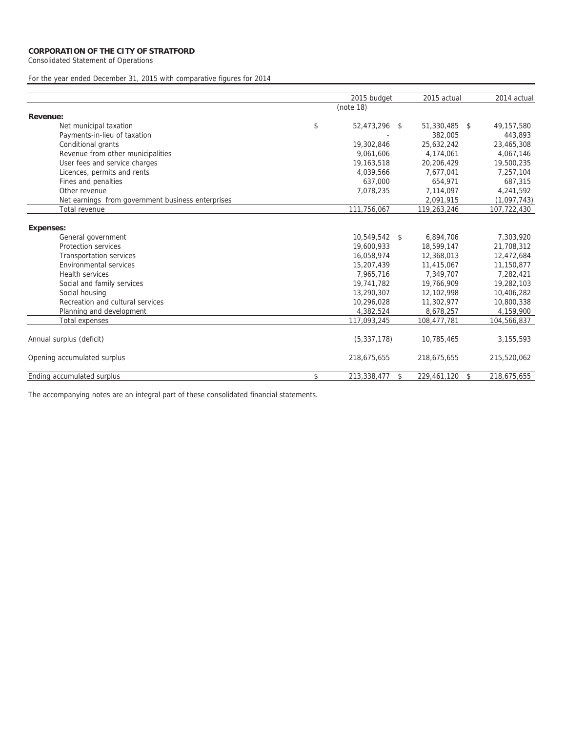Consolidated Statement of Operations

For the year ended December 31, 2015 with comparative figures for 2014

|                                                   | 2015 budget             | 2015 actual   | 2014 actual       |
|---------------------------------------------------|-------------------------|---------------|-------------------|
|                                                   | (note 18)               |               |                   |
| Revenue:                                          |                         |               |                   |
| Net municipal taxation                            | \$<br>52,473,296 \$     | 51,330,485 \$ | 49, 157, 580      |
| Payments-in-lieu of taxation                      |                         | 382,005       | 443,893           |
| Conditional grants                                | 19,302,846              | 25,632,242    | 23,465,308        |
| Revenue from other municipalities                 | 9,061,606               | 4,174,061     | 4,067,146         |
| User fees and service charges                     | 19,163,518              | 20,206,429    | 19,500,235        |
| Licences, permits and rents                       | 4,039,566               | 7,677,041     | 7,257,104         |
| Fines and penalties                               | 637,000                 | 654.971       | 687,315           |
| Other revenue                                     | 7,078,235               | 7,114,097     | 4,241,592         |
| Net earnings from government business enterprises |                         | 2,091,915     | (1,097,743)       |
| Total revenue                                     | 111,756,067             | 119,263,246   | 107,722,430       |
| <b>Expenses:</b>                                  |                         |               |                   |
| General government                                | 10,549,542 \$           | 6,894,706     | 7,303,920         |
| Protection services                               | 19,600,933              | 18,599,147    | 21,708,312        |
| <b>Transportation services</b>                    | 16,058,974              | 12,368,013    | 12,472,684        |
| <b>Environmental services</b>                     | 15,207,439              | 11,415,067    | 11,150,877        |
| <b>Health services</b>                            | 7,965,716               | 7,349,707     | 7,282,421         |
| Social and family services                        | 19,741,782              | 19,766,909    | 19,282,103        |
| Social housing                                    | 13,290,307              | 12,102,998    | 10,406,282        |
| Recreation and cultural services                  | 10,296,028              | 11,302,977    | 10,800,338        |
| Planning and development                          | 4,382,524               | 8,678,257     | 4,159,900         |
| Total expenses                                    | 117,093,245             | 108,477,781   | 104,566,837       |
| Annual surplus (deficit)                          | (5, 337, 178)           | 10,785,465    | 3,155,593         |
| Opening accumulated surplus                       | 218,675,655             | 218,675,655   | 215,520,062       |
| Ending accumulated surplus                        | \$<br>213,338,477<br>\$ | 229,461,120   | \$<br>218,675,655 |

The accompanying notes are an integral part of these consolidated financial statements.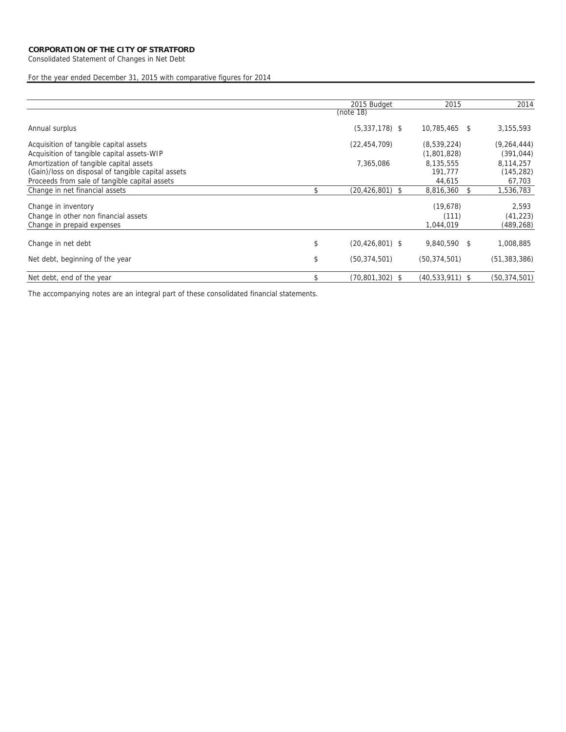Consolidated Statement of Changes in Net Debt

For the year ended December 31, 2015 with comparative figures for 2014

|                                                                                               | 2015 Budget               | 2015                       | 2014                        |
|-----------------------------------------------------------------------------------------------|---------------------------|----------------------------|-----------------------------|
|                                                                                               | (note 18)                 |                            |                             |
| Annual surplus                                                                                | $(5,337,178)$ \$          | 10,785,465 \$              | 3,155,593                   |
| Acquisition of tangible capital assets<br>Acquisition of tangible capital assets-WIP          | (22, 454, 709)            | (8,539,224)<br>(1,801,828) | (9, 264, 444)<br>(391, 044) |
| Amortization of tangible capital assets<br>(Gain)/loss on disposal of tangible capital assets | 7,365,086                 | 8,135,555<br>191,777       | 8,114,257<br>(145, 282)     |
| Proceeds from sale of tangible capital assets                                                 |                           | 44,615                     | 67,703                      |
| Change in net financial assets                                                                | \$<br>$(20, 426, 801)$ \$ | 8,816,360<br>·S            | 536,783                     |
| Change in inventory<br>Change in other non financial assets                                   |                           | (19,678)<br>(111)          | 2,593<br>(41, 223)          |
| Change in prepaid expenses                                                                    |                           | 1,044,019                  | (489,268)                   |
| Change in net debt                                                                            | \$<br>$(20, 426, 801)$ \$ | 9.840.590 \$               | 1,008,885                   |
| Net debt, beginning of the year                                                               | \$<br>(50, 374, 501)      | (50, 374, 501)             | (51, 383, 386)              |
| Net debt, end of the year                                                                     | \$<br>(70,801,302)<br>-S  | (40,533,911) \$            | (50, 374, 501)              |

The accompanying notes are an integral part of these consolidated financial statements.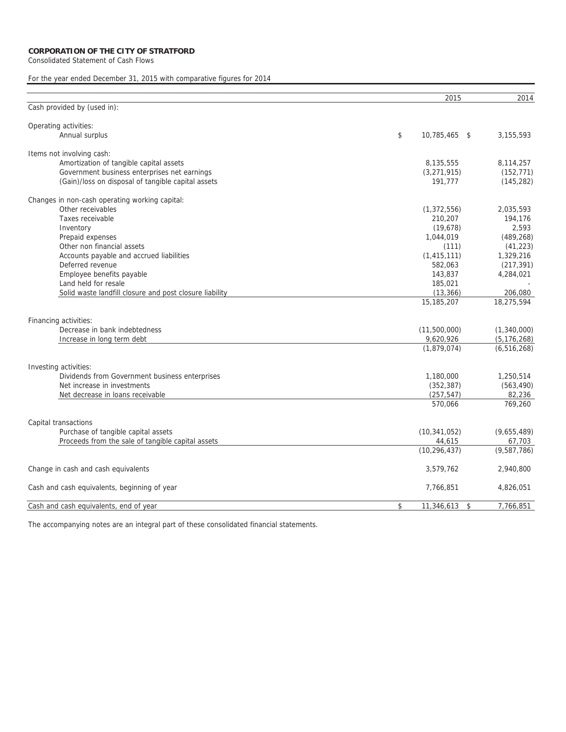Consolidated Statement of Cash Flows

For the year ended December 31, 2015 with comparative figures for 2014

|                                                         | 2015                    | 2014                  |
|---------------------------------------------------------|-------------------------|-----------------------|
| Cash provided by (used in):                             |                         |                       |
| Operating activities:                                   |                         |                       |
| Annual surplus                                          | \$<br>10,785,465 \$     | 3,155,593             |
| Items not involving cash:                               |                         |                       |
| Amortization of tangible capital assets                 | 8,135,555               | 8,114,257             |
| Government business enterprises net earnings            | (3,271,915)             | (152, 771)            |
| (Gain)/loss on disposal of tangible capital assets      | 191,777                 | (145, 282)            |
| Changes in non-cash operating working capital:          |                         |                       |
| Other receivables                                       | (1, 372, 556)           | 2,035,593             |
| Taxes receivable                                        | 210,207                 | 194,176               |
| Inventory                                               | (19,678)                | 2,593                 |
| Prepaid expenses                                        | 1,044,019               | (489, 268)            |
| Other non financial assets                              | (111)                   | (41, 223)             |
| Accounts payable and accrued liabilities                | (1, 415, 111)           | 1,329,216             |
| Deferred revenue                                        | 582,063                 | (217, 391)            |
| Employee benefits payable                               | 143,837                 | 4,284,021             |
| Land held for resale                                    | 185,021                 |                       |
| Solid waste landfill closure and post closure liability | (13, 366)<br>15,185,207 | 206,080<br>18,275,594 |
|                                                         |                         |                       |
| Financing activities:                                   |                         |                       |
| Decrease in bank indebtedness                           | (11,500,000)            | (1,340,000)           |
| Increase in long term debt                              | 9,620,926               | (5, 176, 268)         |
|                                                         | (1,879,074)             | (6, 516, 268)         |
| Investing activities:                                   |                         |                       |
| Dividends from Government business enterprises          | 1,180,000               | 1,250,514             |
| Net increase in investments                             | (352, 387)              | (563, 490)            |
| Net decrease in loans receivable                        | (257, 547)              | 82,236                |
|                                                         | 570,066                 | 769,260               |
| Capital transactions                                    |                         |                       |
| Purchase of tangible capital assets                     | (10, 341, 052)          | (9,655,489)           |
| Proceeds from the sale of tangible capital assets       | 44,615                  | 67,703                |
|                                                         | (10, 296, 437)          | (9,587,786)           |
| Change in cash and cash equivalents                     | 3,579,762               | 2,940,800             |
| Cash and cash equivalents, beginning of year            | 7,766,851               | 4,826,051             |
| Cash and cash equivalents, end of year                  | \$<br>11,346,613<br>\$  | 7,766,851             |

The accompanying notes are an integral part of these consolidated financial statements.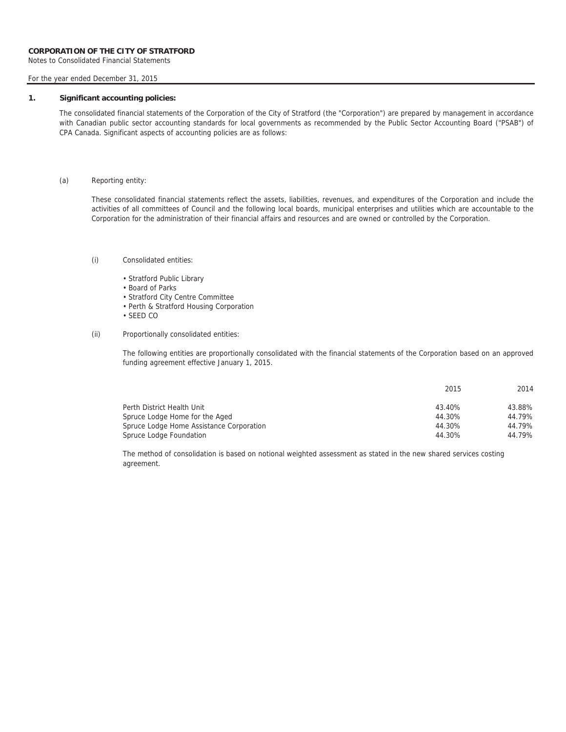Notes to Consolidated Financial Statements

#### For the year ended December 31, 2015

#### **1. Significant accounting policies:**

The consolidated financial statements of the Corporation of the City of Stratford (the "Corporation") are prepared by management in accordance with Canadian public sector accounting standards for local governments as recommended by the Public Sector Accounting Board ("PSAB") of CPA Canada. Significant aspects of accounting policies are as follows:

(a) Reporting entity:

These consolidated financial statements reflect the assets, liabilities, revenues, and expenditures of the Corporation and include the activities of all committees of Council and the following local boards, municipal enterprises and utilities which are accountable to the Corporation for the administration of their financial affairs and resources and are owned or controlled by the Corporation.

- (i) Consolidated entities:
	- Stratford Public Library
	- Board of Parks
	- Stratford City Centre Committee
	- Perth & Stratford Housing Corporation
	- SEED CO
- (ii) Proportionally consolidated entities:

The following entities are proportionally consolidated with the financial statements of the Corporation based on an approved funding agreement effective January 1, 2015.

|                                          | 2015   | 2014   |
|------------------------------------------|--------|--------|
| Perth District Health Unit               | 43.40% | 43.88% |
| Spruce Lodge Home for the Aged           | 44.30% | 44.79% |
| Spruce Lodge Home Assistance Corporation | 44.30% | 44.79% |
| Spruce Lodge Foundation                  | 44.30% | 44.79% |

The method of consolidation is based on notional weighted assessment as stated in the new shared services costing agreement.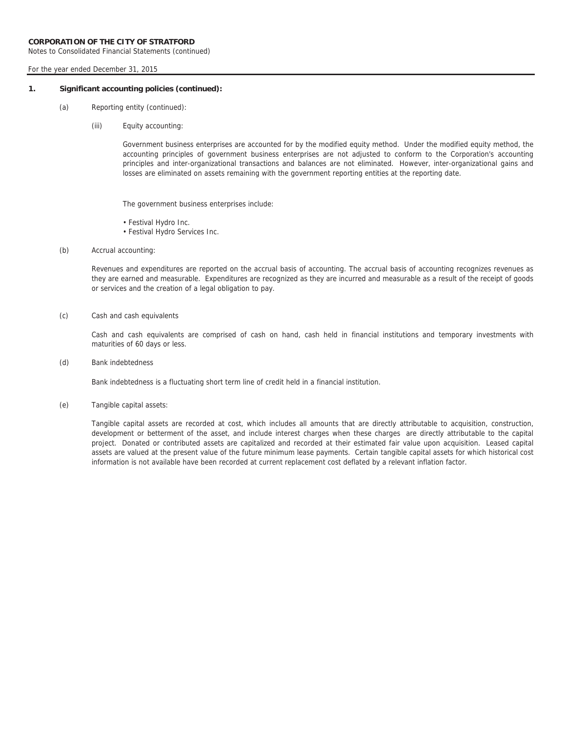For the year ended December 31, 2015

#### **1. Significant accounting policies (continued):**

- (a) Reporting entity (continued):
	- (iii) Equity accounting:

Government business enterprises are accounted for by the modified equity method. Under the modified equity method, the accounting principles of government business enterprises are not adjusted to conform to the Corporation's accounting principles and inter-organizational transactions and balances are not eliminated. However, inter-organizational gains and losses are eliminated on assets remaining with the government reporting entities at the reporting date.

The government business enterprises include:

- Festival Hydro Inc.
- Festival Hydro Services Inc.
- (b) Accrual accounting:

Revenues and expenditures are reported on the accrual basis of accounting. The accrual basis of accounting recognizes revenues as they are earned and measurable. Expenditures are recognized as they are incurred and measurable as a result of the receipt of goods or services and the creation of a legal obligation to pay.

(c) Cash and cash equivalents

Cash and cash equivalents are comprised of cash on hand, cash held in financial institutions and temporary investments with maturities of 60 days or less.

(d) Bank indebtedness

Bank indebtedness is a fluctuating short term line of credit held in a financial institution.

(e) Tangible capital assets:

Tangible capital assets are recorded at cost, which includes all amounts that are directly attributable to acquisition, construction, development or betterment of the asset, and include interest charges when these charges are directly attributable to the capital project. Donated or contributed assets are capitalized and recorded at their estimated fair value upon acquisition. Leased capital assets are valued at the present value of the future minimum lease payments. Certain tangible capital assets for which historical cost information is not available have been recorded at current replacement cost deflated by a relevant inflation factor.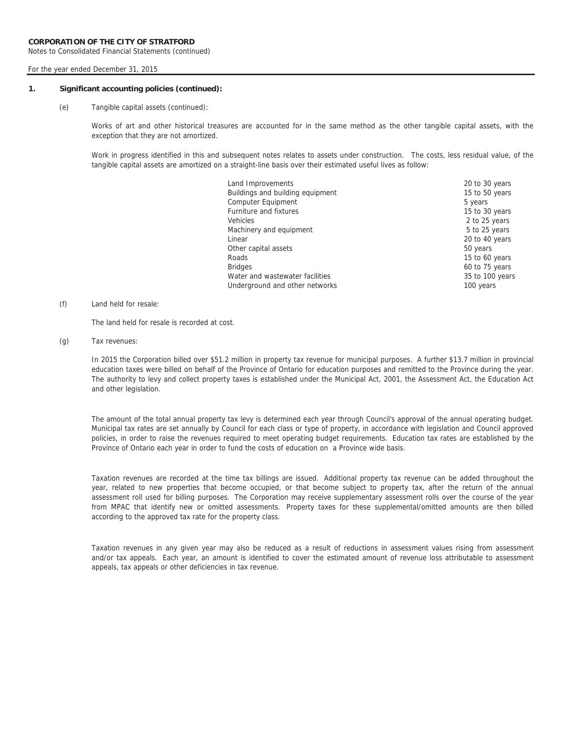#### For the year ended December 31, 2015

#### **1. Significant accounting policies (continued):**

(e) Tangible capital assets (continued):

Works of art and other historical treasures are accounted for in the same method as the other tangible capital assets, with the exception that they are not amortized.

Work in progress identified in this and subsequent notes relates to assets under construction. The costs, less residual value, of the tangible capital assets are amortized on a straight-line basis over their estimated useful lives as follow:

| Land Improvements                | 20 to 30 years  |
|----------------------------------|-----------------|
| Buildings and building equipment | 15 to 50 years  |
| Computer Equipment               | 5 years         |
| Furniture and fixtures           | 15 to 30 years  |
| Vehicles                         | 2 to 25 years   |
| Machinery and equipment          | 5 to 25 years   |
| Linear                           | 20 to 40 years  |
| Other capital assets             | 50 years        |
| Roads                            | 15 to 60 years  |
| <b>Bridges</b>                   | 60 to 75 years  |
| Water and wastewater facilities  | 35 to 100 years |
| Underground and other networks   | 100 years       |

(f) Land held for resale:

The land held for resale is recorded at cost.

(g) Tax revenues:

In 2015 the Corporation billed over \$51.2 million in property tax revenue for municipal purposes. A further \$13.7 million in provincial education taxes were billed on behalf of the Province of Ontario for education purposes and remitted to the Province during the year. The authority to levy and collect property taxes is established under the Municipal Act, 2001, the Assessment Act, the Education Act and other legislation.

The amount of the total annual property tax levy is determined each year through Council's approval of the annual operating budget. Municipal tax rates are set annually by Council for each class or type of property, in accordance with legislation and Council approved policies, in order to raise the revenues required to meet operating budget requirements. Education tax rates are established by the Province of Ontario each year in order to fund the costs of education on a Province wide basis.

Taxation revenues are recorded at the time tax billings are issued. Additional property tax revenue can be added throughout the year, related to new properties that become occupied, or that become subject to property tax, after the return of the annual assessment roll used for billing purposes. The Corporation may receive supplementary assessment rolls over the course of the year from MPAC that identify new or omitted assessments. Property taxes for these supplemental/omitted amounts are then billed according to the approved tax rate for the property class.

Taxation revenues in any given year may also be reduced as a result of reductions in assessment values rising from assessment and/or tax appeals. Each year, an amount is identified to cover the estimated amount of revenue loss attributable to assessment appeals, tax appeals or other deficiencies in tax revenue.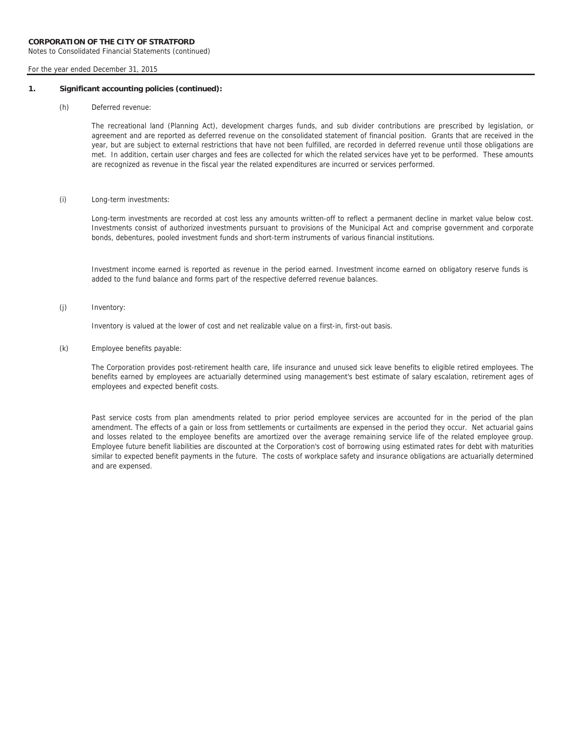## **1. Significant accounting policies (continued):**

(h) Deferred revenue:

The recreational land (Planning Act), development charges funds, and sub divider contributions are prescribed by legislation, or agreement and are reported as deferred revenue on the consolidated statement of financial position. Grants that are received in the year, but are subject to external restrictions that have not been fulfilled, are recorded in deferred revenue until those obligations are met. In addition, certain user charges and fees are collected for which the related services have yet to be performed. These amounts are recognized as revenue in the fiscal year the related expenditures are incurred or services performed.

(i) Long-term investments:

Long-term investments are recorded at cost less any amounts written-off to reflect a permanent decline in market value below cost. Investments consist of authorized investments pursuant to provisions of the Municipal Act and comprise government and corporate bonds, debentures, pooled investment funds and short-term instruments of various financial institutions.

Investment income earned is reported as revenue in the period earned. Investment income earned on obligatory reserve funds is added to the fund balance and forms part of the respective deferred revenue balances.

(j) Inventory:

Inventory is valued at the lower of cost and net realizable value on a first-in, first-out basis.

(k) Employee benefits payable:

The Corporation provides post-retirement health care, life insurance and unused sick leave benefits to eligible retired employees. The benefits earned by employees are actuarially determined using management's best estimate of salary escalation, retirement ages of employees and expected benefit costs.

Past service costs from plan amendments related to prior period employee services are accounted for in the period of the plan amendment. The effects of a gain or loss from settlements or curtailments are expensed in the period they occur. Net actuarial gains and losses related to the employee benefits are amortized over the average remaining service life of the related employee group. Employee future benefit liabilities are discounted at the Corporation's cost of borrowing using estimated rates for debt with maturities similar to expected benefit payments in the future. The costs of workplace safety and insurance obligations are actuarially determined and are expensed.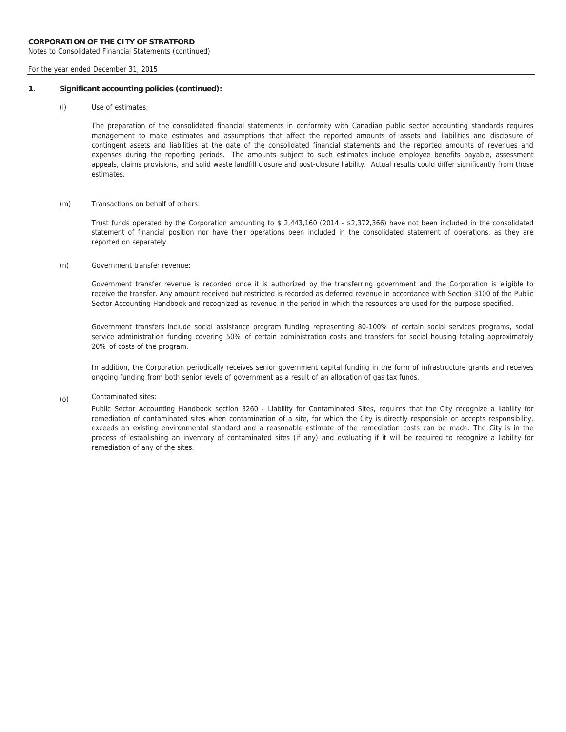#### **1. Significant accounting policies (continued):**

(l) Use of estimates:

The preparation of the consolidated financial statements in conformity with Canadian public sector accounting standards requires management to make estimates and assumptions that affect the reported amounts of assets and liabilities and disclosure of contingent assets and liabilities at the date of the consolidated financial statements and the reported amounts of revenues and expenses during the reporting periods. The amounts subject to such estimates include employee benefits payable, assessment appeals, claims provisions, and solid waste landfill closure and post-closure liability. Actual results could differ significantly from those estimates.

(m) Transactions on behalf of others:

Trust funds operated by the Corporation amounting to \$ 2,443,160 (2014 - \$2,372,366) have not been included in the consolidated statement of financial position nor have their operations been included in the consolidated statement of operations, as they are reported on separately.

(n) Government transfer revenue:

Government transfer revenue is recorded once it is authorized by the transferring government and the Corporation is eligible to receive the transfer. Any amount received but restricted is recorded as deferred revenue in accordance with Section 3100 of the Public Sector Accounting Handbook and recognized as revenue in the period in which the resources are used for the purpose specified.

Government transfers include social assistance program funding representing 80-100% of certain social services programs, social service administration funding covering 50% of certain administration costs and transfers for social housing totaling approximately 20% of costs of the program.

In addition, the Corporation periodically receives senior government capital funding in the form of infrastructure grants and receives ongoing funding from both senior levels of government as a result of an allocation of gas tax funds.

Contaminated sites: (o)

Public Sector Accounting Handbook section 3260 - Liability for Contaminated Sites, requires that the City recognize a liability for remediation of contaminated sites when contamination of a site, for which the City is directly responsible or accepts responsibility, exceeds an existing environmental standard and a reasonable estimate of the remediation costs can be made. The City is in the process of establishing an inventory of contaminated sites (if any) and evaluating if it will be required to recognize a liability for remediation of any of the sites.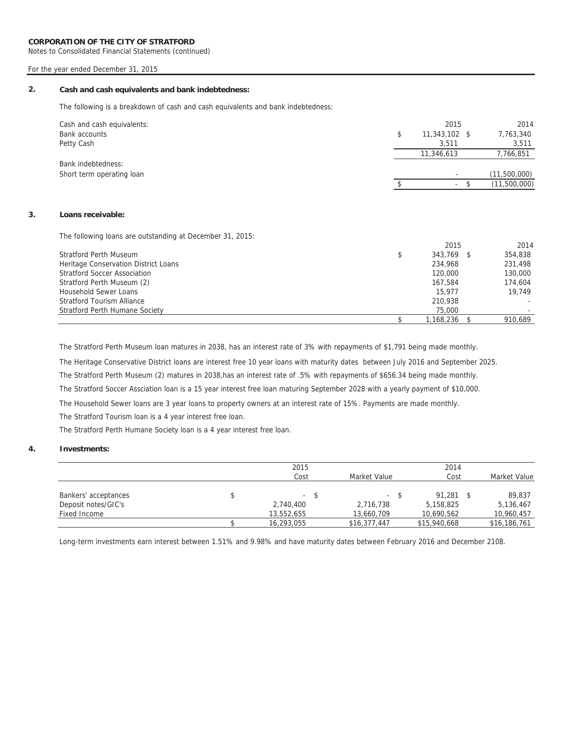#### For the year ended December 31, 2015

## **2. Cash and cash equivalents and bank indebtedness:**

The following is a breakdown of cash and cash equivalents and bank indebtedness:

| Cash and cash equivalents:<br>Bank accounts<br>Petty Cash | 2015<br>11,343,102 \$<br>3.511 | 2014<br>7,763,340<br>3,511 |
|-----------------------------------------------------------|--------------------------------|----------------------------|
|                                                           | 11,346,613                     | 7,766,851                  |
| Bank indebtedness:                                        |                                |                            |
| Short term operating loan                                 | $\overline{\phantom{a}}$       | (11,500,000)               |
|                                                           | $\overline{\phantom{a}}$       | (11,500,000)               |
|                                                           |                                |                            |

## **3. Loans receivable:**

The following loans are outstanding at December 31, 2015:

|                                       | 2015      | 2014    |
|---------------------------------------|-----------|---------|
| <b>Stratford Perth Museum</b>         | 343,769   | 354,838 |
| Heritage Conservation District Loans  | 234,968   | 231,498 |
| <b>Stratford Soccer Association</b>   | 120,000   | 130,000 |
| Stratford Perth Museum (2)            | 167.584   | 174,604 |
| Household Sewer Loans                 | 15,977    | 19.749  |
| <b>Stratford Tourism Alliance</b>     | 210,938   |         |
| <b>Stratford Perth Humane Society</b> | 75,000    |         |
|                                       | 1,168,236 | 910.689 |

The Stratford Perth Museum loan matures in 2038, has an interest rate of 3% with repayments of \$1,791 being made monthly.

The Heritage Conservative District loans are interest free 10 year loans with maturity dates between July 2016 and September 2025.

The Stratford Perth Museum (2) matures in 2038,has an interest rate of .5% with repayments of \$656.34 being made monthly.

The Stratford Soccer Assciation loan is a 15 year interest free loan maturing September 2028 with a yearly payment of \$10,000.

The Household Sewer loans are 3 year loans to property owners at an interest rate of 15%. Payments are made monthly.

The Stratford Tourism loan is a 4 year interest free loan.

The Stratford Perth Humane Society loan is a 4 year interest free loan.

## **4. Investments:**

|                                             | 2015<br>Cost             | Market Value               | 2014<br>Cost               | Market Value               |
|---------------------------------------------|--------------------------|----------------------------|----------------------------|----------------------------|
| Bankers' acceptances<br>Deposit notes/GIC's | - \$<br>2,740,400        | $\sim$<br>2,716,738        | 91,281<br>5,158,825        | 89,837<br>5,136,467        |
| Fixed Income                                | 13,552,655<br>16,293,055 | 13,660,709<br>\$16,377,447 | 10.690.562<br>\$15,940,668 | 10,960,457<br>\$16,186,761 |

Long-term investments earn interest between 1.51% and 9.98% and have maturity dates between February 2016 and December 2108.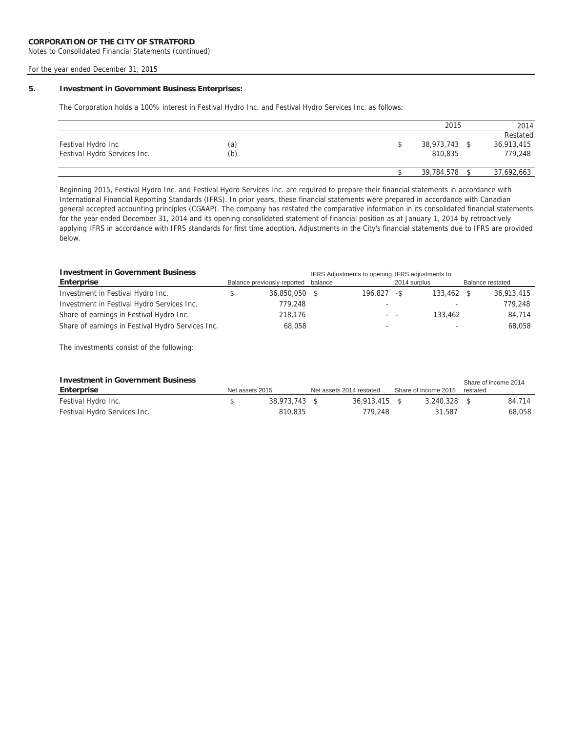Notes to Consolidated Financial Statements (continued)

#### For the year ended December 31, 2015

#### **5. Investment in Government Business Enterprises:**

The Corporation holds a 100% interest in Festival Hydro Inc. and Festival Hydro Services Inc. as follows:

|                              |     | 2015       | 2014       |
|------------------------------|-----|------------|------------|
|                              |     |            | Restated   |
| Festival Hydro Inc           | (a) | 38,973,743 | 36,913,415 |
| Festival Hydro Services Inc. | (b) | 810,835    | 779.248    |
|                              |     | 39,784,578 | 37,692,663 |

Beginning 2015, Festival Hydro Inc. and Festival Hydro Services Inc. are required to prepare their financial statements in accordance with International Financial Reporting Standards (IFRS). In prior years, these financial statements were prepared in accordance with Canadian general accepted accounting principles (CGAAP). The company has restated the comparative information in its consolidated financial statements for the year ended December 31, 2014 and its opening consolidated statement of financial position as at January 1, 2014 by retroactively applying IFRS in accordance with IFRS standards for first time adoption. Adjustments in the City's financial statements due to IFRS are provided below.

| <b>Investment in Government Business</b>          |                             |         | IFRS Adjustments to opening IFRS adjustments to |      |              |                  |
|---------------------------------------------------|-----------------------------|---------|-------------------------------------------------|------|--------------|------------------|
| Enterprise                                        | Balance previously reported | balance |                                                 |      | 2014 surplus | Balance restated |
| Investment in Festival Hydro Inc.                 | 36.850.050 \$               |         | 196,827                                         | - \$ | $133.462$ \$ | 36,913,415       |
| Investment in Festival Hydro Services Inc.        | 779.248                     |         | $\overline{\phantom{a}}$                        |      |              | 779.248          |
| Share of earnings in Festival Hydro Inc.          | 218,176                     |         | $ -$                                            |      | 133,462      | 84,714           |
| Share of earnings in Festival Hydro Services Inc. | 68,058                      |         |                                                 |      | . .          | 68,058           |

The investments consist of the following:

| <b>Investment in Government Business</b> |                 |                          |                      |          | Share of income 2014 |
|------------------------------------------|-----------------|--------------------------|----------------------|----------|----------------------|
| Enterprise                               | Net assets 2015 | Net assets 2014 restated | Share of income 2015 | restated |                      |
| Festival Hydro Inc.                      | 38.973.743 \$   | 36.913.415 \$            | $3.240.328$ \$       |          | 84.714               |
| Festival Hydro Services Inc.             | 810.835         | 779.248                  | 31,587               |          | 68,058               |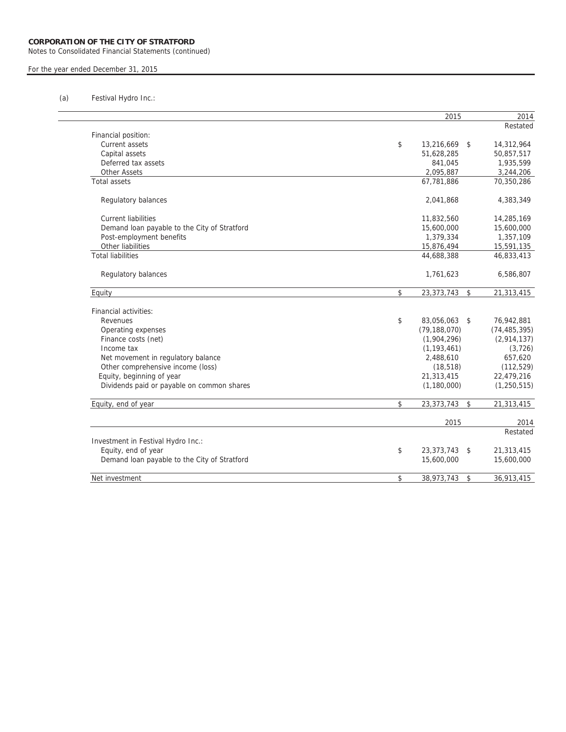(a) Festival Hydro Inc.:

|                                              | 2015                    | 2014                    |
|----------------------------------------------|-------------------------|-------------------------|
|                                              |                         | Restated                |
| Financial position:                          |                         |                         |
| Current assets                               | \$<br>13,216,669 \$     | 14,312,964              |
| Capital assets<br>Deferred tax assets        | 51,628,285              | 50,857,517              |
| Other Assets                                 | 841,045                 | 1,935,599               |
| <b>Total assets</b>                          | 2,095,887<br>67,781,886 | 3,244,206<br>70,350,286 |
|                                              |                         |                         |
| Regulatory balances                          | 2,041,868               | 4,383,349               |
| <b>Current liabilities</b>                   | 11,832,560              | 14,285,169              |
| Demand loan payable to the City of Stratford | 15,600,000              | 15,600,000              |
| Post-employment benefits                     | 1,379,334               | 1,357,109               |
| Other liabilities                            | 15,876,494              | 15,591,135              |
| <b>Total liabilities</b>                     | 44,688,388              | 46,833,413              |
| Regulatory balances                          | 1,761,623               | 6,586,807               |
| Equity                                       | \$<br>23, 373, 743      | \$<br>21,313,415        |
| Financial activities:                        |                         |                         |
| Revenues                                     | \$<br>83,056,063 \$     | 76,942,881              |
| Operating expenses                           | (79, 188, 070)          | (74, 485, 395)          |
| Finance costs (net)                          | (1,904,296)             | (2,914,137)             |
| Income tax                                   | (1, 193, 461)           | (3, 726)                |
| Net movement in regulatory balance           | 2,488,610               | 657,620                 |
| Other comprehensive income (loss)            | (18, 518)               | (112, 529)              |
| Equity, beginning of year                    | 21,313,415              | 22,479,216              |
| Dividends paid or payable on common shares   | (1, 180, 000)           | (1, 250, 515)           |
| Equity, end of year                          | \$<br>23,373,743        | \$<br>21,313,415        |
|                                              |                         |                         |
|                                              | 2015                    | 2014<br>Restated        |
| Investment in Festival Hydro Inc.:           |                         |                         |
| Equity, end of year                          | \$<br>23,373,743 \$     | 21,313,415              |
| Demand loan payable to the City of Stratford | 15,600,000              | 15,600,000              |
| Net investment                               | \$<br>38,973,743        | \$<br>36,913,415        |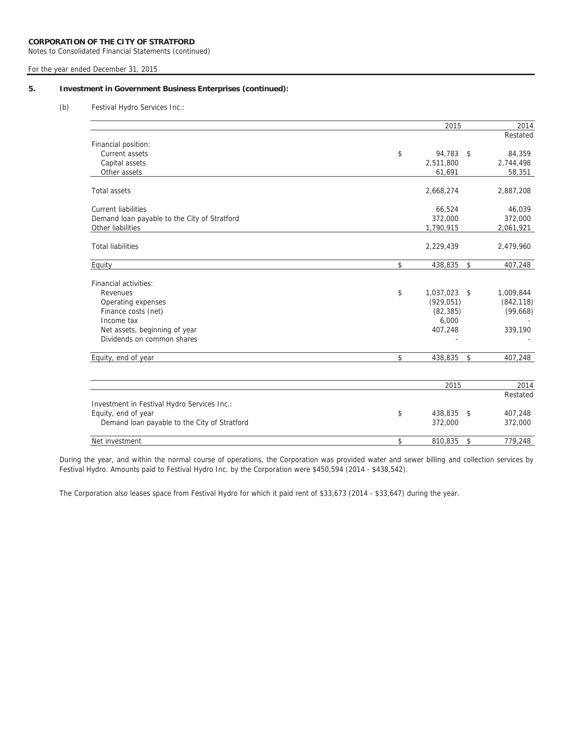Notes to Consolidated Financial Statements (continued)

## For the year ended December 31, 2015

## **5. Investment in Government Business Enterprises (continued):**

(b) Festival Hydro Services Inc.:

|                                              | 2015               |                | 2014       |
|----------------------------------------------|--------------------|----------------|------------|
|                                              |                    |                | Restated   |
| Financial position:                          |                    |                |            |
| Current assets                               | \$<br>94,783       | $\mathfrak{S}$ | 84,359     |
| Capital assets                               | 2,511,800          |                | 2,744,498  |
| Other assets                                 | 61,691             |                | 58,351     |
| <b>Total assets</b>                          | 2,668,274          |                | 2,887,208  |
| <b>Current liabilities</b>                   | 66,524             |                | 46,039     |
| Demand loan payable to the City of Stratford | 372,000            |                | 372,000    |
| Other liabilities                            | 1,790,915          |                | 2,061,921  |
| <b>Total liabilities</b>                     | 2,229,439          |                | 2,479,960  |
| Equity                                       | \$<br>438,835      | \$             | 407,248    |
| Financial activities:                        |                    |                |            |
| Revenues                                     | \$<br>1,037,023 \$ |                | 1,009,844  |
| Operating expenses                           | (929, 051)         |                | (842, 118) |
| Finance costs (net)                          | (82, 385)          |                | (99,668)   |
| Income tax                                   | 6,000              |                |            |
| Net assets, beginning of year                | 407,248            |                | 339,190    |
| Dividends on common shares                   |                    |                |            |
| Equity, end of year                          | \$<br>438,835      | \$             | 407,248    |
|                                              | 2015               |                | 2014       |
|                                              |                    |                | Restated   |
| Investment in Festival Hydro Services Inc.:  |                    |                |            |
| Equity, end of year                          | \$<br>438,835      | \$             | 407,248    |
| Demand loan payable to the City of Stratford | 372,000            |                | 372,000    |
| Net investment                               | \$<br>810,835      | \$             | 779,248    |

During the year, and within the normal course of operations, the Corporation was provided water and sewer billing and collection services by Festival Hydro. Amounts paid to Festival Hydro Inc. by the Corporation were \$450,594 (2014 - \$438,542).

The Corporation also leases space from Festival Hydro for which it paid rent of \$33,673 (2014 - \$33,647) during the year.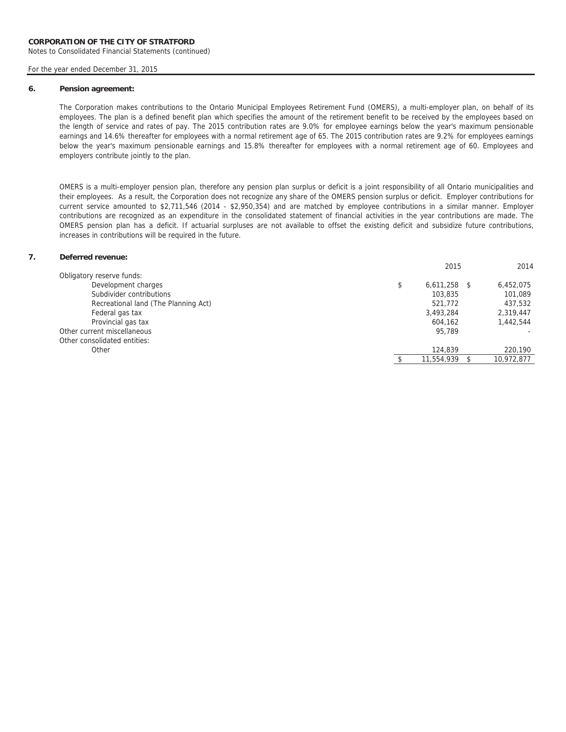#### **6. Pension agreement:**

The Corporation makes contributions to the Ontario Municipal Employees Retirement Fund (OMERS), a multi-employer plan, on behalf of its employees. The plan is a defined benefit plan which specifies the amount of the retirement benefit to be received by the employees based on the length of service and rates of pay. The 2015 contribution rates are 9.0% for employee earnings below the year's maximum pensionable earnings and 14.6% thereafter for employees with a normal retirement age of 65. The 2015 contribution rates are 9.2% for employees earnings below the year's maximum pensionable earnings and 15.8% thereafter for employees with a normal retirement age of 60. Employees and employers contribute jointly to the plan.

OMERS is a multi-employer pension plan, therefore any pension plan surplus or deficit is a joint responsibility of all Ontario municipalities and their employees. As a result, the Corporation does not recognize any share of the OMERS pension surplus or deficit. Employer contributions for current service amounted to \$2,711,546 (2014 - \$2,950,354) and are matched by employee contributions in a similar manner. Employer contributions are recognized as an expenditure in the consolidated statement of financial activities in the year contributions are made. The OMERS pension plan has a deficit. If actuarial surpluses are not available to offset the existing deficit and subsidize future contributions, increases in contributions will be required in the future.

#### **7. Deferred revenue:**

|                                      | 2015            |    | 2014       |
|--------------------------------------|-----------------|----|------------|
| Obligatory reserve funds:            |                 |    |            |
| Development charges                  | \$<br>6,611,258 | S. | 6,452,075  |
| Subdivider contributions             | 103,835         |    | 101,089    |
| Recreational land (The Planning Act) | 521.772         |    | 437,532    |
| Federal gas tax                      | 3,493,284       |    | 2,319,447  |
| Provincial gas tax                   | 604.162         |    | 1,442,544  |
| Other current miscellaneous          | 95,789          |    |            |
| Other consolidated entities:         |                 |    |            |
| Other                                | 124.839         |    | 220,190    |
|                                      | 11,554,939      |    | 10,972,877 |
|                                      |                 |    |            |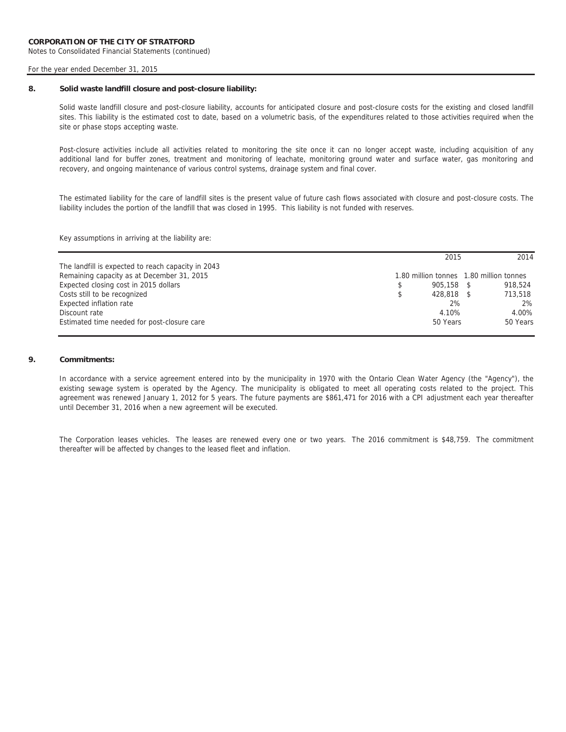#### **8. Solid waste landfill closure and post-closure liability:**

Solid waste landfill closure and post-closure liability, accounts for anticipated closure and post-closure costs for the existing and closed landfill sites. This liability is the estimated cost to date, based on a volumetric basis, of the expenditures related to those activities required when the site or phase stops accepting waste.

Post-closure activities include all activities related to monitoring the site once it can no longer accept waste, including acquisition of any additional land for buffer zones, treatment and monitoring of leachate, monitoring ground water and surface water, gas monitoring and recovery, and ongoing maintenance of various control systems, drainage system and final cover.

The estimated liability for the care of landfill sites is the present value of future cash flows associated with closure and post-closure costs. The liability includes the portion of the landfill that was closed in 1995. This liability is not funded with reserves.

Key assumptions in arriving at the liability are:

|                                                    | 2015                                    | 2014     |
|----------------------------------------------------|-----------------------------------------|----------|
| The landfill is expected to reach capacity in 2043 |                                         |          |
| Remaining capacity as at December 31, 2015         | 1.80 million tonnes 1.80 million tonnes |          |
| Expected closing cost in 2015 dollars              | 905.158 \$                              | 918,524  |
| Costs still to be recognized                       | 428,818<br>\$                           | 713,518  |
| Expected inflation rate                            | 2%                                      | 2%       |
| Discount rate                                      | 4.10%                                   | 4.00%    |
| Estimated time needed for post-closure care        | 50 Years                                | 50 Years |
|                                                    |                                         |          |

#### **9. Commitments:**

In accordance with a service agreement entered into by the municipality in 1970 with the Ontario Clean Water Agency (the "Agency"), the existing sewage system is operated by the Agency. The municipality is obligated to meet all operating costs related to the project. This agreement was renewed January 1, 2012 for 5 years. The future payments are \$861,471 for 2016 with a CPI adjustment each year thereafter until December 31, 2016 when a new agreement will be executed.

The Corporation leases vehicles. The leases are renewed every one or two years. The 2016 commitment is \$48,759. The commitment thereafter will be affected by changes to the leased fleet and inflation.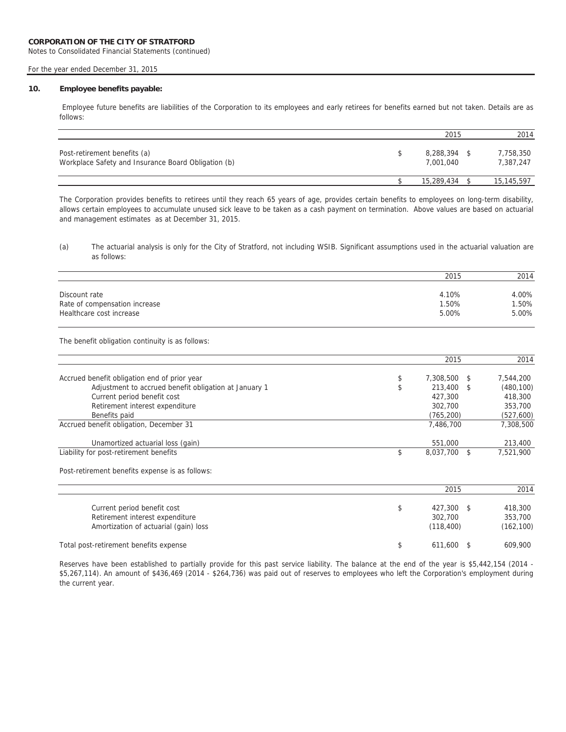#### For the year ended December 31, 2015

#### **10. Employee benefits payable:**

Employee future benefits are liabilities of the Corporation to its employees and early retirees for benefits earned but not taken. Details are as follows:

|                                                                                     | 2015                   | 2014                   |
|-------------------------------------------------------------------------------------|------------------------|------------------------|
| Post-retirement benefits (a)<br>Workplace Safety and Insurance Board Obligation (b) | 8,288,394<br>7.001.040 | 7,758,350<br>7.387.247 |
|                                                                                     | 15,289,434             | 15,145,597             |

The Corporation provides benefits to retirees until they reach 65 years of age, provides certain benefits to employees on long-term disability, allows certain employees to accumulate unused sick leave to be taken as a cash payment on termination. Above values are based on actuarial and management estimates as at December 31, 2015.

(a) The actuarial analysis is only for the City of Stratford, not including WSIB. Significant assumptions used in the actuarial valuation are as follows:

|                               | 2015  | 2014  |
|-------------------------------|-------|-------|
|                               |       |       |
| Discount rate                 | 4.10% | 4.00% |
| Rate of compensation increase | 1.50% | 1.50% |
| Healthcare cost increase      | 5.00% | 5.00% |

The benefit obligation continuity is as follows:

|                                                       |   | 2015            | 2014       |
|-------------------------------------------------------|---|-----------------|------------|
| Accrued benefit obligation end of prior year          | ъ | 7,308,500 \$    | 7,544,200  |
| Adjustment to accrued benefit obligation at January 1 | P | 213,400<br>- \$ | (480, 100) |
| Current period benefit cost                           |   | 427,300         | 418,300    |
| Retirement interest expenditure                       |   | 302,700         | 353,700    |
| Benefits paid                                         |   | (765, 200)      | (527,600)  |
| Accrued benefit obligation, December 31               |   | 7.486.700       | 7,308,500  |
| Unamortized actuarial loss (gain)                     |   | 551,000         | 213,400    |
| Liability for post-retirement benefits                |   | 8,037,700       | 7.521.900  |

Post-retirement benefits expense is as follows:

|                                        | 2015      | 2014       |
|----------------------------------------|-----------|------------|
|                                        |           |            |
| Current period benefit cost            | 427,300   | 418,300    |
| Retirement interest expenditure        | 302,700   | 353,700    |
| Amortization of actuarial (gain) loss  | (118.400) | (162, 100) |
| Total post-retirement benefits expense | 611,600   | 609.900    |

Reserves have been established to partially provide for this past service liability. The balance at the end of the year is \$5,442,154 (2014 -\$5,267,114). An amount of \$436,469 (2014 - \$264,736) was paid out of reserves to employees who left the Corporation's employment during the current year.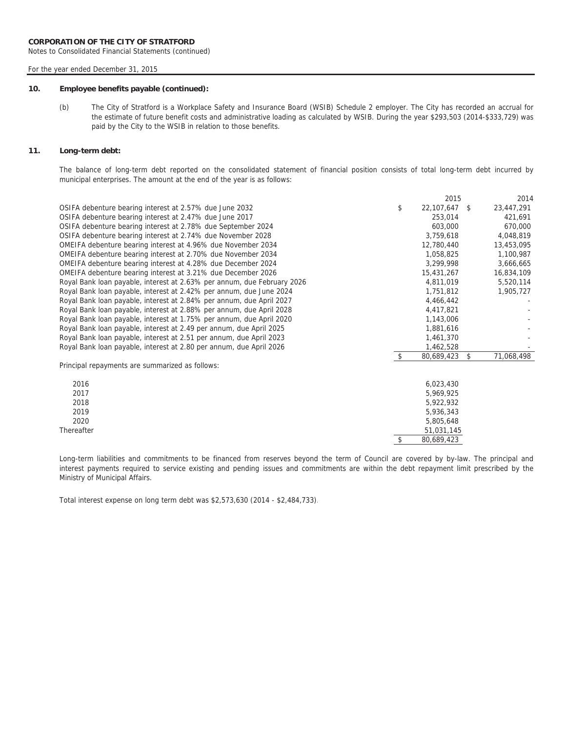## **10. Employee benefits payable (continued):**

(b) The City of Stratford is a Workplace Safety and Insurance Board (WSIB) Schedule 2 employer. The City has recorded an accrual for the estimate of future benefit costs and administrative loading as calculated by WSIB. During the year \$293,503 (2014-\$333,729) was paid by the City to the WSIB in relation to those benefits.

## **11. Long-term debt:**

The balance of long-term debt reported on the consolidated statement of financial position consists of total long-term debt incurred by municipal enterprises. The amount at the end of the year is as follows:

|                                                                         |               | 2015       |    | 2014       |
|-------------------------------------------------------------------------|---------------|------------|----|------------|
| OSIFA debenture bearing interest at 2.57% due June 2032                 | \$            | 22,107,647 | S  | 23,447,291 |
| OSIFA debenture bearing interest at 2.47% due June 2017                 |               | 253,014    |    | 421,691    |
| OSIFA debenture bearing interest at 2.78% due September 2024            |               | 603,000    |    | 670,000    |
| OSIFA debenture bearing interest at 2.74% due November 2028             |               | 3,759,618  |    | 4,048,819  |
| OMEIFA debenture bearing interest at 4.96% due November 2034            |               | 12,780,440 |    | 13,453,095 |
| OMEIFA debenture bearing interest at 2.70% due November 2034            |               | 1,058,825  |    | 1,100,987  |
| OMEIFA debenture bearing interest at 4.28% due December 2024            |               | 3,299,998  |    | 3,666,665  |
| OMEIFA debenture bearing interest at 3.21% due December 2026            |               | 15,431,267 |    | 16,834,109 |
| Royal Bank loan payable, interest at 2.63% per annum, due February 2026 |               | 4,811,019  |    | 5,520,114  |
| Royal Bank loan payable, interest at 2.42% per annum, due June 2024     |               | 1,751,812  |    | 1,905,727  |
| Royal Bank loan payable, interest at 2.84% per annum, due April 2027    |               | 4,466,442  |    |            |
| Royal Bank loan payable, interest at 2.88% per annum, due April 2028    |               | 4,417,821  |    |            |
| Royal Bank loan payable, interest at 1.75% per annum, due April 2020    |               | 1,143,006  |    |            |
| Royal Bank Ioan payable, interest at 2.49 per annum, due April 2025     |               | 1,881,616  |    |            |
| Royal Bank loan payable, interest at 2.51 per annum, due April 2023     |               | 1,461,370  |    |            |
| Royal Bank loan payable, interest at 2.80 per annum, due April 2026     |               | 1,462,528  |    |            |
|                                                                         | $\mathcal{L}$ | 80,689,423 | \$ | 71,068,498 |
| Principal repayments are summarized as follows:                         |               |            |    |            |
| 2016                                                                    |               | 6,023,430  |    |            |
| 2017                                                                    |               | 5,969,925  |    |            |
| 2018                                                                    |               | 5,922,932  |    |            |
| 2019                                                                    |               | 5,936,343  |    |            |
| 2020                                                                    |               | 5,805,648  |    |            |
| Thereafter                                                              |               | 51,031,145 |    |            |
|                                                                         | \$            | 80,689,423 |    |            |

Long-term liabilities and commitments to be financed from reserves beyond the term of Council are covered by by-law. The principal and interest payments required to service existing and pending issues and commitments are within the debt repayment limit prescribed by the Ministry of Municipal Affairs.

Total interest expense on long term debt was \$2,573,630 (2014 - \$2,484,733).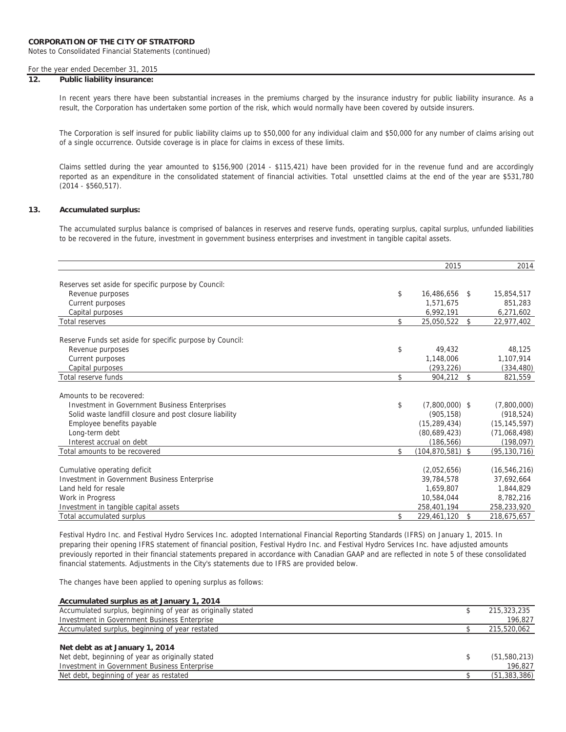#### For the year ended December 31, 2015

## **12. Public liability insurance:**

In recent years there have been substantial increases in the premiums charged by the insurance industry for public liability insurance. As a result, the Corporation has undertaken some portion of the risk, which would normally have been covered by outside insurers.

The Corporation is self insured for public liability claims up to \$50,000 for any individual claim and \$50,000 for any number of claims arising out of a single occurrence. Outside coverage is in place for claims in excess of these limits.

Claims settled during the year amounted to \$156,900 (2014 - \$115,421) have been provided for in the revenue fund and are accordingly reported as an expenditure in the consolidated statement of financial activities. Total unsettled claims at the end of the year are \$531,780 (2014 - \$560,517).

#### **13. Accumulated surplus:**

The accumulated surplus balance is comprised of balances in reserves and reserve funds, operating surplus, capital surplus, unfunded liabilities to be recovered in the future, investment in government business enterprises and investment in tangible capital assets.

|                                                          | 2015                       | 2014           |
|----------------------------------------------------------|----------------------------|----------------|
| Reserves set aside for specific purpose by Council:      |                            |                |
| Revenue purposes                                         | \$<br>16,486,656<br>\$     | 15,854,517     |
| Current purposes                                         | 1,571,675                  | 851,283        |
|                                                          |                            |                |
| Capital purposes                                         | 6,992,191                  | 6,271,602      |
| Total reserves                                           | \$<br>25,050,522<br>\$     | 22,977,402     |
| Reserve Funds set aside for specific purpose by Council: |                            |                |
| Revenue purposes                                         | \$<br>49,432               | 48,125         |
| Current purposes                                         | 1,148,006                  | 1,107,914      |
| Capital purposes                                         | (293, 226)                 | (334, 480)     |
| Total reserve funds                                      | \$<br>904,212<br>\$        | 821,559        |
| Amounts to be recovered:                                 |                            |                |
| <b>Investment in Government Business Enterprises</b>     | \$<br>$(7,800,000)$ \$     | (7,800,000)    |
| Solid waste landfill closure and post closure liability  | (905, 158)                 | (918, 524)     |
| Employee benefits payable                                | (15, 289, 434)             | (15, 145, 597) |
| Long-term debt                                           | (80,689,423)               | (71,068,498)   |
| Interest accrual on debt                                 | (186, 566)                 | (198, 097)     |
| Total amounts to be recovered                            | \$<br>$(104, 870, 581)$ \$ | (95, 130, 716) |
| Cumulative operating deficit                             | (2,052,656)                | (16, 546, 216) |
| Investment in Government Business Enterprise             | 39,784,578                 | 37,692,664     |
| Land held for resale                                     | 1.659.807                  |                |
|                                                          |                            | 1,844,829      |
| Work in Progress                                         | 10,584,044                 | 8,782,216      |
| Investment in tangible capital assets                    | 258,401,194                | 258,233,920    |
| Total accumulated surplus                                | \$<br>229,461,120<br>\$    | 218,675,657    |

Festival Hydro Inc. and Festival Hydro Services Inc. adopted International Financial Reporting Standards (IFRS) on January 1, 2015. In preparing their opening IFRS statement of financial position, Festival Hydro Inc. and Festival Hydro Services Inc. have adjusted amounts previously reported in their financial statements prepared in accordance with Canadian GAAP and are reflected in note 5 of these consolidated financial statements. Adjustments in the City's statements due to IFRS are provided below.

The changes have been applied to opening surplus as follows:

| Accumulated surplus as at January 1, 2014                   |                |
|-------------------------------------------------------------|----------------|
| Accumulated surplus, beginning of year as originally stated | 215,323,235    |
| Investment in Government Business Enterprise                | 196,827        |
| Accumulated surplus, beginning of year restated             | 215,520,062    |
|                                                             |                |
| Net debt as at January 1, 2014                              |                |
| Net debt, beginning of year as originally stated            | (51, 580, 213) |
| Investment in Government Business Enterprise                | 196.827        |
| Net debt, beginning of year as restated                     | (51, 383, 386) |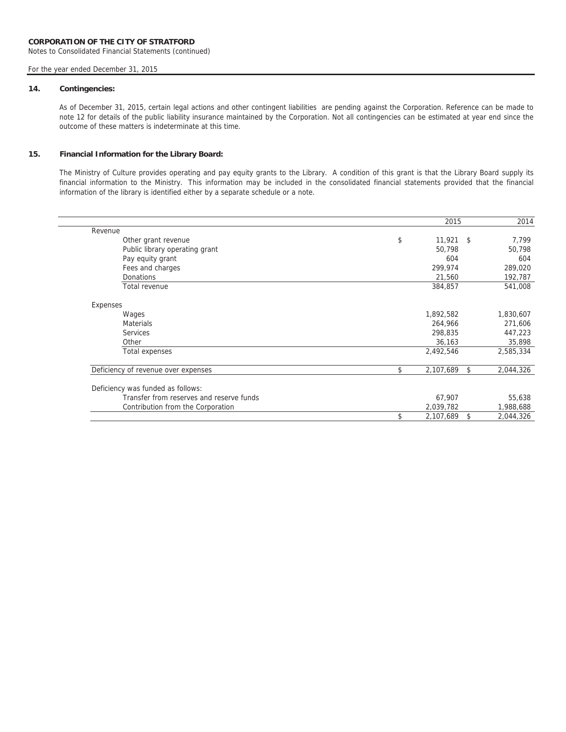#### **14. Contingencies:**

As of December 31, 2015, certain legal actions and other contingent liabilities are pending against the Corporation. Reference can be made to note 12 for details of the public liability insurance maintained by the Corporation. Not all contingencies can be estimated at year end since the outcome of these matters is indeterminate at this time.

#### **15. Financial Information for the Library Board:**

The Ministry of Culture provides operating and pay equity grants to the Library. A condition of this grant is that the Library Board supply its financial information to the Ministry. This information may be included in the consolidated financial statements provided that the financial information of the library is identified either by a separate schedule or a note.

|         |                                          | 2015              | 2014            |
|---------|------------------------------------------|-------------------|-----------------|
| Revenue |                                          |                   |                 |
|         | Other grant revenue                      | \$<br>$11,921$ \$ | 7,799           |
|         | Public library operating grant           | 50,798            | 50,798          |
|         | Pay equity grant                         | 604               | 604             |
|         | Fees and charges                         | 299,974           | 289,020         |
|         | Donations                                | 21,560            | 192,787         |
|         | Total revenue                            | 384,857           | 541,008         |
|         | Expenses                                 |                   |                 |
|         | Wages                                    | 1,892,582         | 1,830,607       |
|         | <b>Materials</b>                         | 264,966           | 271,606         |
|         | Services                                 | 298,835           | 447,223         |
|         | Other                                    | 36,163            | 35,898          |
|         | Total expenses                           | 2,492,546         | 2,585,334       |
|         | Deficiency of revenue over expenses      | \$<br>2,107,689   | \$<br>2,044,326 |
|         | Deficiency was funded as follows:        |                   |                 |
|         | Transfer from reserves and reserve funds | 67,907            | 55,638          |
|         | Contribution from the Corporation        | 2,039,782         | 1,988,688       |
|         |                                          | 2,107,689         | \$<br>2,044,326 |
|         |                                          |                   |                 |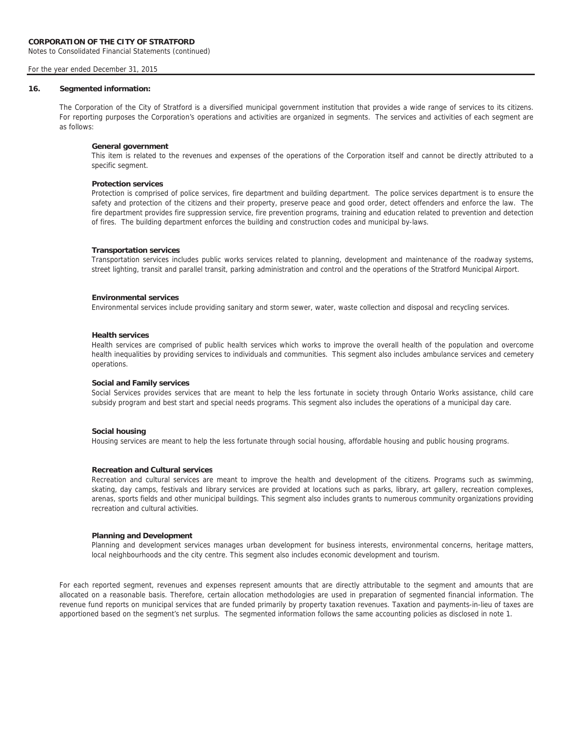#### **16. Segmented information:**

The Corporation of the City of Stratford is a diversified municipal government institution that provides a wide range of services to its citizens. For reporting purposes the Corporation's operations and activities are organized in segments. The services and activities of each segment are as follows:

#### **General government**

This item is related to the revenues and expenses of the operations of the Corporation itself and cannot be directly attributed to a specific segment.

#### **Protection services**

Protection is comprised of police services, fire department and building department. The police services department is to ensure the safety and protection of the citizens and their property, preserve peace and good order, detect offenders and enforce the law. The fire department provides fire suppression service, fire prevention programs, training and education related to prevention and detection of fires. The building department enforces the building and construction codes and municipal by-laws.

#### **Transportation services**

Transportation services includes public works services related to planning, development and maintenance of the roadway systems, street lighting, transit and parallel transit, parking administration and control and the operations of the Stratford Municipal Airport.

#### **Environmental services**

Environmental services include providing sanitary and storm sewer, water, waste collection and disposal and recycling services.

#### **Health services**

Health services are comprised of public health services which works to improve the overall health of the population and overcome health inequalities by providing services to individuals and communities. This segment also includes ambulance services and cemetery operations.

#### **Social and Family services**

Social Services provides services that are meant to help the less fortunate in society through Ontario Works assistance, child care subsidy program and best start and special needs programs. This segment also includes the operations of a municipal day care.

#### **Social housing**

Housing services are meant to help the less fortunate through social housing, affordable housing and public housing programs.

#### **Recreation and Cultural services**

Recreation and cultural services are meant to improve the health and development of the citizens. Programs such as swimming, skating, day camps, festivals and library services are provided at locations such as parks, library, art gallery, recreation complexes, arenas, sports fields and other municipal buildings. This segment also includes grants to numerous community organizations providing recreation and cultural activities.

#### **Planning and Development**

Planning and development services manages urban development for business interests, environmental concerns, heritage matters, local neighbourhoods and the city centre. This segment also includes economic development and tourism.

For each reported segment, revenues and expenses represent amounts that are directly attributable to the segment and amounts that are allocated on a reasonable basis. Therefore, certain allocation methodologies are used in preparation of segmented financial information. The revenue fund reports on municipal services that are funded primarily by property taxation revenues. Taxation and payments-in-lieu of taxes are apportioned based on the segment's net surplus. The segmented information follows the same accounting policies as disclosed in note 1.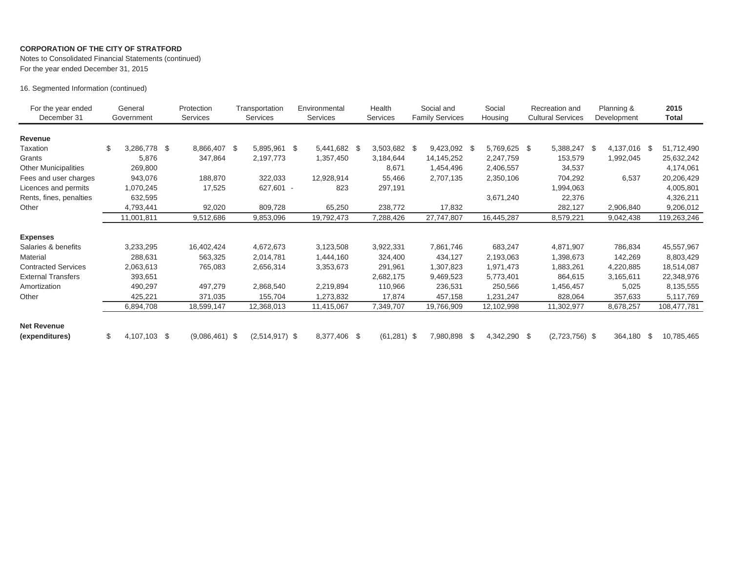Notes to Consolidated Financial Statements (continued) For the year ended December 31, 2015

16. Segmented Information (continued)

| For the year ended<br>December 31 | General<br>Government | Protection<br>Services | Transportation<br><b>Services</b> | Environmental<br>Services |      | Health<br><b>Services</b> |      | Social and<br><b>Family Services</b> | Social<br>Housing  | Recreation and<br><b>Cultural Services</b> | Planning &<br>Development |    | 2015<br><b>Total</b> |
|-----------------------------------|-----------------------|------------------------|-----------------------------------|---------------------------|------|---------------------------|------|--------------------------------------|--------------------|--------------------------------------------|---------------------------|----|----------------------|
| Revenue                           |                       |                        |                                   |                           |      |                           |      |                                      |                    |                                            |                           |    |                      |
| Taxation                          | \$<br>3,286,778 \$    | 8,866,407 \$           | 5,895,961 \$                      | 5,441,682                 | - \$ | 3,503,682                 | - \$ | 9,423,092 \$                         | 5,769,625 \$       | 5,388,247 \$                               | 4,137,016                 | -S | 51,712,490           |
| Grants                            | 5,876                 | 347,864                | 2,197,773                         | 1,357,450                 |      | 3,184,644                 |      | 14,145,252                           | 2,247,759          | 153,579                                    | 1,992,045                 |    | 25,632,242           |
| <b>Other Municipalities</b>       | 269,800               |                        |                                   |                           |      | 8,671                     |      | 1,454,496                            | 2,406,557          | 34,537                                     |                           |    | 4,174,061            |
| Fees and user charges             | 943,076               | 188,870                | 322,033                           | 12,928,914                |      | 55,466                    |      | 2,707,135                            | 2,350,106          | 704,292                                    | 6,537                     |    | 20,206,429           |
| Licences and permits              | 1,070,245             | 17,525                 | 627,601 -                         | 823                       |      | 297,191                   |      |                                      |                    | 1,994,063                                  |                           |    | 4,005,801            |
| Rents, fines, penalties           | 632,595               |                        |                                   |                           |      |                           |      |                                      | 3,671,240          | 22,376                                     |                           |    | 4,326,211            |
| Other                             | 4,793,441             | 92,020                 | 809,728                           | 65,250                    |      | 238,772                   |      | 17,832                               |                    | 282,127                                    | 2,906,840                 |    | 9,206,012            |
|                                   | 11,001,811            | 9,512,686              | 9,853,096                         | 19,792,473                |      | 7,288,426                 |      | 27,747,807                           | 16,445,287         | 8,579,221                                  | 9,042,438                 |    | 119,263,246          |
| <b>Expenses</b>                   |                       |                        |                                   |                           |      |                           |      |                                      |                    |                                            |                           |    |                      |
| Salaries & benefits               | 3,233,295             | 16,402,424             | 4,672,673                         | 3,123,508                 |      | 3,922,331                 |      | 7,861,746                            | 683,247            | 4,871,907                                  | 786,834                   |    | 45,557,967           |
| Material                          | 288,631               | 563,325                | 2,014,781                         | 1,444,160                 |      | 324,400                   |      | 434,127                              | 2,193,063          | 1,398,673                                  | 142,269                   |    | 8,803,429            |
| <b>Contracted Services</b>        | 2,063,613             | 765,083                | 2,656,314                         | 3,353,673                 |      | 291,961                   |      | 1,307,823                            | 1,971,473          | 1,883,261                                  | 4,220,885                 |    | 18,514,087           |
| <b>External Transfers</b>         | 393,651               |                        |                                   |                           |      | 2,682,175                 |      | 9,469,523                            | 5,773,401          | 864,615                                    | 3,165,611                 |    | 22,348,976           |
| Amortization                      | 490,297               | 497,279                | 2,868,540                         | 2,219,894                 |      | 110,966                   |      | 236,531                              | 250,566            | 1,456,457                                  | 5,025                     |    | 8,135,555            |
| Other                             | 425,221               | 371,035                | 155,704                           | 1,273,832                 |      | 17,874                    |      | 457,158                              | 1,231,247          | 828,064                                    | 357,633                   |    | 5,117,769            |
|                                   | 6,894,708             | 18,599,147             | 12,368,013                        | 11,415,067                |      | 7,349,707                 |      | 19,766,909                           | 12,102,998         | 11,302,977                                 | 8,678,257                 |    | 108,477,781          |
| <b>Net Revenue</b>                |                       |                        |                                   |                           |      |                           |      |                                      |                    |                                            |                           |    |                      |
| (expenditures)                    | \$<br>4,107,103 \$    | $(9,086,461)$ \$       | $(2,514,917)$ \$                  | 8,377,406 \$              |      | $(61, 281)$ \$            |      | 7,980,898                            | \$<br>4,342,290 \$ | $(2,723,756)$ \$                           | 364,180                   | \$ | 10,785,465           |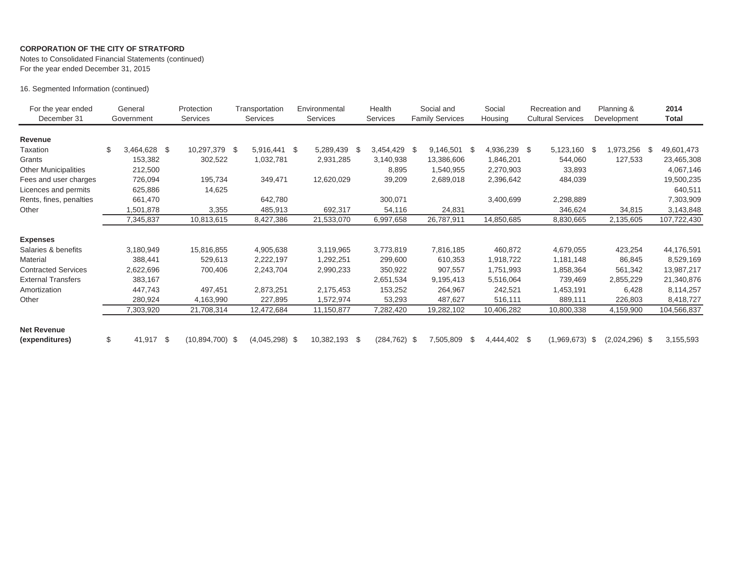Notes to Consolidated Financial Statements (continued) For the year ended December 31, 2015

16. Segmented Information (continued)

| For the year ended<br>December 31    | General<br>Government | Protection<br>Services |      | Transportation<br><b>Services</b> | Environmental<br>Services | Health<br>Services |      | Social and<br><b>Family Services</b> | Social<br>Housing  | Recreation and<br><b>Cultural Services</b> |     | Planning &<br>Development | 2014<br><b>Total</b> |
|--------------------------------------|-----------------------|------------------------|------|-----------------------------------|---------------------------|--------------------|------|--------------------------------------|--------------------|--------------------------------------------|-----|---------------------------|----------------------|
| Revenue                              |                       |                        |      |                                   |                           |                    |      |                                      |                    |                                            |     |                           |                      |
| Taxation                             | \$<br>3,464,628 \$    | 10,297,379             | - \$ | 5,916,441 \$                      | 5,289,439                 | \$<br>3,454,429    | - \$ | $9,146,501$ \$                       | 4,936,239 \$       | 5,123,160 \$                               |     | 1,973,256<br>- \$         | 49,601,473           |
| Grants                               | 153,382               | 302,522                |      | 1,032,781                         | 2,931,285                 | 3,140,938          |      | 13,386,606                           | 1,846,201          | 544,060                                    |     | 127,533                   | 23,465,308           |
| <b>Other Municipalities</b>          | 212,500               |                        |      |                                   |                           | 8,895              |      | 1,540,955                            | 2,270,903          | 33,893                                     |     |                           | 4,067,146            |
| Fees and user charges                | 726,094               | 195,734                |      | 349,471                           | 12,620,029                | 39,209             |      | 2,689,018                            | 2,396,642          | 484,039                                    |     |                           | 19,500,235           |
| Licences and permits                 | 625,886               | 14,625                 |      |                                   |                           |                    |      |                                      |                    |                                            |     |                           | 640,511              |
| Rents, fines, penalties              | 661,470               |                        |      | 642,780                           |                           | 300,071            |      |                                      | 3,400,699          | 2,298,889                                  |     |                           | 7,303,909            |
| Other                                | 1,501,878             | 3,355                  |      | 485,913                           | 692,317                   | 54,116             |      | 24,831                               |                    | 346,624                                    |     | 34,815                    | 3,143,848            |
|                                      | 7,345,837             | 10,813,615             |      | 8,427,386                         | 21,533,070                | 6,997,658          |      | 26,787,911                           | 14,850,685         | 8,830,665                                  |     | 2,135,605                 | 107,722,430          |
| <b>Expenses</b>                      |                       |                        |      |                                   |                           |                    |      |                                      |                    |                                            |     |                           |                      |
| Salaries & benefits                  | 3,180,949             | 15,816,855             |      | 4,905,638                         | 3,119,965                 | 3,773,819          |      | 7,816,185                            | 460,872            | 4,679,055                                  |     | 423,254                   | 44,176,591           |
| Material                             | 388,441               | 529,613                |      | 2,222,197                         | 1,292,251                 | 299,600            |      | 610,353                              | 1,918,722          | 1,181,148                                  |     | 86,845                    | 8,529,169            |
| <b>Contracted Services</b>           | 2,622,696             | 700,406                |      | 2,243,704                         | 2,990,233                 | 350,922            |      | 907,557                              | 1,751,993          | 1,858,364                                  |     | 561,342                   | 13,987,217           |
| <b>External Transfers</b>            | 383,167               |                        |      |                                   |                           | 2,651,534          |      | 9,195,413                            | 5,516,064          | 739,469                                    |     | 2,855,229                 | 21,340,876           |
| Amortization                         | 447,743               | 497,451                |      | 2,873,251                         | 2,175,453                 | 153,252            |      | 264,967                              | 242,521            | 1,453,191                                  |     | 6,428                     | 8,114,257            |
| Other                                | 280,924               | 4,163,990              |      | 227,895                           | 1,572,974                 | 53,293             |      | 487,627                              | 516,111            | 889,111                                    |     | 226,803                   | 8,418,727            |
|                                      | 7,303,920             | 21,708,314             |      | 12,472,684                        | 11,150,877                | 7,282,420          |      | 19,282,102                           | 10,406,282         | 10,800,338                                 |     | 4,159,900                 | 104,566,837          |
| <b>Net Revenue</b><br>(expenditures) | \$<br>41,917 \$       | $(10,894,700)$ \$      |      | $(4,045,298)$ \$                  | 10,382,193 \$             | (284, 762)         | \$   | 7,505,809                            | \$<br>4,444,402 \$ | (1,969,673)                                | -\$ | $(2,024,296)$ \$          | 3,155,593            |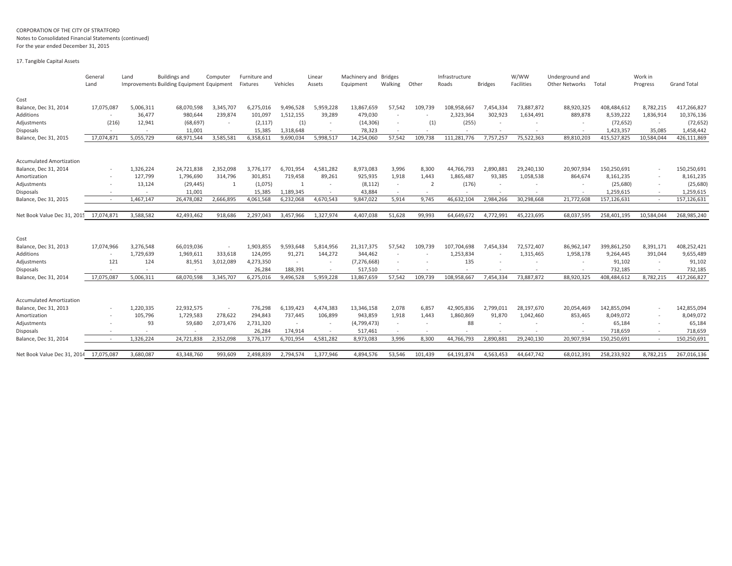CORPORATION OF THE CITY OF STRATFORD Notes to Consolidated Financial Statements (continued) For the year ended December 31, 2015

17. Tangible Capital Assets

|                                        | General                  | Land      | <b>Buildings and</b>                      | Computer                 | Furniture and |                          | Linear                   | Machinery and Bridges |                          |                          | Infrastructure           |                          | W/WW                     | Underground and          |             | Work in                  |                    |
|----------------------------------------|--------------------------|-----------|-------------------------------------------|--------------------------|---------------|--------------------------|--------------------------|-----------------------|--------------------------|--------------------------|--------------------------|--------------------------|--------------------------|--------------------------|-------------|--------------------------|--------------------|
|                                        | Land                     |           | Improvements Building Equipment Equipment |                          | Fixtures      | Vehicles                 | Assets                   | Equipment             | Walking                  | Other                    | Roads                    | <b>Bridges</b>           | Facilities               | Other Networks           | Total       | Progress                 | <b>Grand Total</b> |
|                                        |                          |           |                                           |                          |               |                          |                          |                       |                          |                          |                          |                          |                          |                          |             |                          |                    |
| Cost                                   |                          |           |                                           |                          |               |                          |                          |                       |                          |                          |                          |                          |                          |                          |             |                          |                    |
| Balance, Dec 31, 2014                  | 17,075,087               | 5,006,311 | 68,070,598                                | 3,345,707                | 6,275,016     | 9,496,528                | 5,959,228                | 13,867,659            | 57,542                   | 109,739                  | 108,958,667              | 7,454,334                | 73,887,872               | 88,920,325               | 408,484,612 | 8,782,215                | 417,266,827        |
| Additions                              | $\sim$                   | 36,477    | 980,644                                   | 239,874                  | 101,097       | 1,512,155                | 39,289                   | 479,030               | $\sim$                   |                          | 2,323,364                | 302,923                  | 1,634,491                | 889,878                  | 8,539,222   | 1,836,914                | 10,376,136         |
| Adjustments                            | (216)                    | 12,941    | (68, 697)                                 | $\overline{\phantom{a}}$ | (2, 117)      | (1)                      | $\overline{\phantom{a}}$ | (14, 306)             | $\sim$                   | (1)                      | (255)                    | $\sim$                   | $\overline{\phantom{a}}$ | $\overline{\phantom{a}}$ | (72, 652)   | $\sim$                   | (72, 652)          |
| Disposals                              | $\sim$                   | $\sim$    | 11.001                                    |                          | 15,385        | 1,318,648                |                          | 78,323                |                          | $\overline{\phantom{a}}$ | $\overline{\phantom{a}}$ | $\overline{\phantom{a}}$ | $\sim$                   | $\overline{\phantom{a}}$ | 1,423,357   | 35.085                   | 1,458,442          |
| Balance, Dec 31, 2015                  | 17,074,871               | 5.055.729 | 68,971,544                                | 3,585,581                | 6,358,611     | 9,690,034                | 5,998,517                | 14,254,060            | 57.542                   | 109,738                  | 111.281.776              | 7.757.257                | 75,522,363               | 89.810.203               | 415,527,825 | 10,584,044               | 426,111,869        |
| <b>Accumulated Amortization</b>        |                          |           |                                           |                          |               |                          |                          |                       |                          |                          |                          |                          |                          |                          |             |                          |                    |
| Balance, Dec 31, 2014                  | $\overline{\phantom{a}}$ | 1,326,224 | 24,721,838                                | 2,352,098                | 3,776,177     | 6,701,954                | 4,581,282                | 8,973,083             | 3,996                    | 8,300                    | 44,766,793               | 2,890,881                | 29,240,130               | 20,907,934               | 150,250,691 | $\sim$                   | 150,250,691        |
|                                        |                          |           |                                           |                          |               |                          |                          |                       |                          |                          |                          |                          |                          |                          |             |                          |                    |
| Amortization                           | $\sim$                   | 127,799   | 1,796,690                                 | 314,796                  | 301,851       | 719,458                  | 89,261                   | 925,935               | 1,918                    | 1,443                    | 1,865,487                | 93,385                   | 1,058,538                | 864,674                  | 8,161,235   |                          | 8,161,235          |
| Adjustments                            | $\overline{\phantom{a}}$ | 13,124    | (29, 445)                                 | $\overline{1}$           | (1,075)       | $\mathbf{1}$             | $\sim$                   | (8, 112)              | $\sim$                   | $\overline{2}$           | (176)                    | $\sim$                   |                          |                          | (25, 680)   | $\overline{\phantom{a}}$ | (25,680)           |
| <b>Disposals</b>                       |                          |           | 11,001                                    |                          | 15,385        | 1,189,345                |                          | 43,884                |                          |                          |                          |                          |                          |                          | 1,259,615   |                          | 1,259,615          |
| Balance, Dec 31, 2015                  |                          | 1,467,147 | 26,478,082                                | 2,666,895                | 4,061,568     | 6,232,068                | 4,670,543                | 9,847,022             | 5,914                    | 9,745                    | 46,632,104               | 2,984,266                | 30,298,668               | 21,772,608               | 157,126,631 |                          | 157,126,631        |
| Net Book Value Dec 31, 2015 17,074,871 |                          | 3,588,582 | 42,493,462                                | 918,686                  | 2,297,043     | 3,457,966                | 1,327,974                | 4,407,038             | 51,628                   | 99,993                   | 64,649,672               | 4,772,991                | 45,223,695               | 68,037,595               | 258,401,195 | 10,584,044               | 268,985,240        |
|                                        |                          |           |                                           |                          |               |                          |                          |                       |                          |                          |                          |                          |                          |                          |             |                          |                    |
| Cost                                   |                          |           |                                           |                          |               |                          |                          |                       |                          |                          |                          |                          |                          |                          |             |                          |                    |
| Balance, Dec 31, 2013                  | 17,074,966               | 3,276,548 | 66,019,036                                | $\sim$                   | 1,903,855     | 9,593,648                | 5,814,956                | 21,317,375            | 57,542                   | 109,739                  | 107,704,698              | 7,454,334                | 72,572,407               | 86,962,147               | 399,861,250 | 8,391,171                | 408,252,421        |
| Additions                              | $\overline{\phantom{a}}$ | 1,729,639 | 1,969,611                                 | 333,618                  | 124,095       | 91,271                   | 144,272                  | 344,462               |                          | $\sim$                   | 1,253,834                | $\sim$                   | 1,315,465                | 1,958,178                | 9,264,445   | 391,044                  | 9,655,489          |
| Adjustments                            | 121                      | 124       | 81,951                                    | 3,012,089                | 4,273,350     | $\sim$                   | $\sim$                   | (7, 276, 668)         | $\overline{\phantom{a}}$ | $\sim$                   | 135                      | $\sim$                   | $\overline{a}$           | $\sim$                   | 91,102      | $\sim$                   | 91,102             |
| <b>Disposals</b>                       | $\sim$                   | $\sim$    | $\sim$                                    |                          | 26,284        | 188,391                  | $\sim$                   | 517,510               |                          |                          |                          | $\overline{\phantom{a}}$ | $\overline{\phantom{a}}$ | $\sim$                   | 732,185     | $\sim$                   | 732,185            |
| Balance, Dec 31, 2014                  | 17,075,087               | 5,006,311 | 68,070,598                                | 3,345,707                | 6,275,016     | 9,496,528                | 5,959,228                | 13,867,659            | 57,542                   | 109,739                  | 108,958,667              | 7.454.334                | 73,887,872               | 88,920,325               | 408,484,612 | 8.782.215                | 417,266,827        |
|                                        |                          |           |                                           |                          |               |                          |                          |                       |                          |                          |                          |                          |                          |                          |             |                          |                    |
| <b>Accumulated Amortization</b>        |                          |           |                                           |                          |               |                          |                          |                       |                          |                          |                          |                          |                          |                          |             |                          |                    |
| Balance, Dec 31, 2013                  | $\sim$                   | 1,220,335 | 22,932,575                                | $\sim$                   | 776,298       | 6,139,423                | 4,474,383                | 13,346,158            | 2,078                    | 6,857                    | 42,905,836               | 2,799,011                | 28,197,670               | 20,054,469               | 142,855,094 | $\overline{\phantom{a}}$ | 142,855,094        |
| Amortization                           | $\sim$                   | 105,796   | 1,729,583                                 | 278,622                  | 294,843       | 737,445                  | 106,899                  | 943,859               | 1,918                    | 1,443                    | 1,860,869                | 91,870                   | 1,042,460                | 853,465                  | 8,049,072   |                          | 8,049,072          |
| Adjustments                            | $\sim$                   | 93        | 59,680                                    | 2,073,476                | 2,731,320     | $\overline{\phantom{a}}$ | $\overline{\phantom{a}}$ | (4,799,473)           | $\sim$                   | $\overline{\phantom{a}}$ | 88                       |                          | $\overline{\phantom{a}}$ | $\sim$                   | 65,184      | $\overline{\phantom{a}}$ | 65,184             |
| Disposals                              |                          |           |                                           |                          | 26,284        | 174,914                  | $\sim$                   | 517,461               | $\sim$                   |                          |                          |                          |                          |                          | 718,659     | $\sim$                   | 718,659            |
| Balance, Dec 31, 2014                  |                          | 1,326,224 | 24,721,838                                | 2,352,098                | 3,776,177     | 6,701,954                | 4,581,282                | 8,973,083             | 3,996                    | 8,300                    | 44,766,793               | 2,890,881                | 29,240,130               | 20,907,934               | 150,250,691 | $\sim$                   | 150,250,691        |
|                                        |                          |           |                                           |                          |               |                          |                          |                       |                          |                          |                          |                          |                          |                          |             |                          |                    |
| Net Book Value Dec 31, 2014            | 17,075,087               | 3,680,087 | 43,348,760                                | 993,609                  | 2,498,839     | 2,794,574                | 1,377,946                | 4,894,576             | 53,546                   | 101,439                  | 64,191,874               | 4,563,453                | 44,647,742               | 68,012,391               | 258,233,922 | 8,782,215                | 267,016,136        |